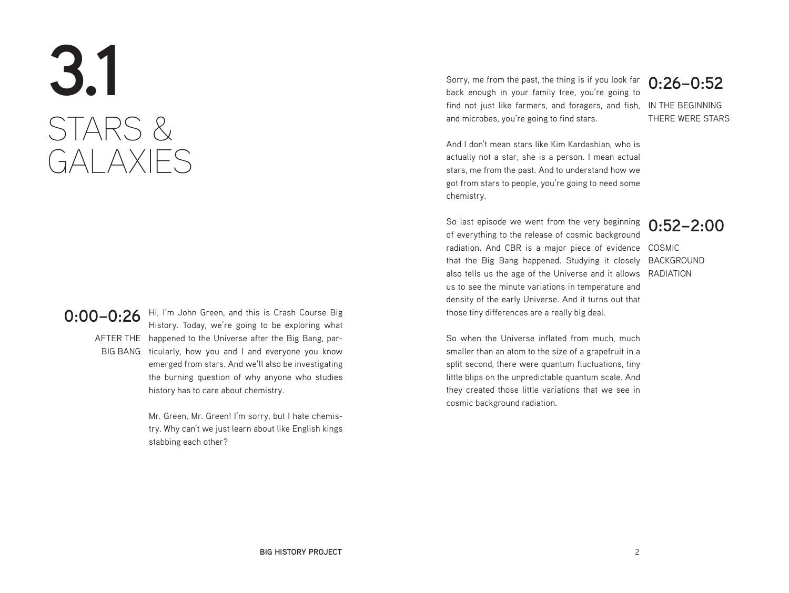# **3.1** STARS & GALAXIES

**0:00–0:26** Hi, I'm John Green, and this is Crash Course Big<br>History Today, we're going to be explaring what AFTER THE happened to the Universe after the Big Bang, par-BIG BANG ticularly, how you and I and everyone you know History. Today, we're going to be exploring what emerged from stars. And we'll also be investigating the burning question of why anyone who studies history has to care about chemistry.

> Mr. Green, Mr. Green! I'm sorry, but I hate chemistry. Why can't we just learn about like English kings stabbing each other?

find not just like farmers, and foragers, and fish, IN THE BEGINNING Sorry, me from the past, the thing is if you look far back enough in your family tree, you're going to and microbes, you're going to find stars.

**0:26–0:52**

THERE WERE STARS

And I don't mean stars like Kim Kardashian, who is actually not a star, she is a person. I mean actual stars, me from the past. And to understand how we got from stars to people, you're going to need some chemistry.

radiation. And CBR is a major piece of evidence COSMIC that the Big Bang happened. Studying it closely BACKGROUND also tells us the age of the Universe and it allows RADIATION So last episode we went from the very beginning of everything to the release of cosmic background us to see the minute variations in temperature and density of the early Universe. And it turns out that those tiny differences are a really big deal.

**0:52–2:00**

So when the Universe inflated from much, much smaller than an atom to the size of a grapefruit in a split second, there were quantum fluctuations, tiny little blips on the unpredictable quantum scale. And they created those little variations that we see in cosmic background radiation.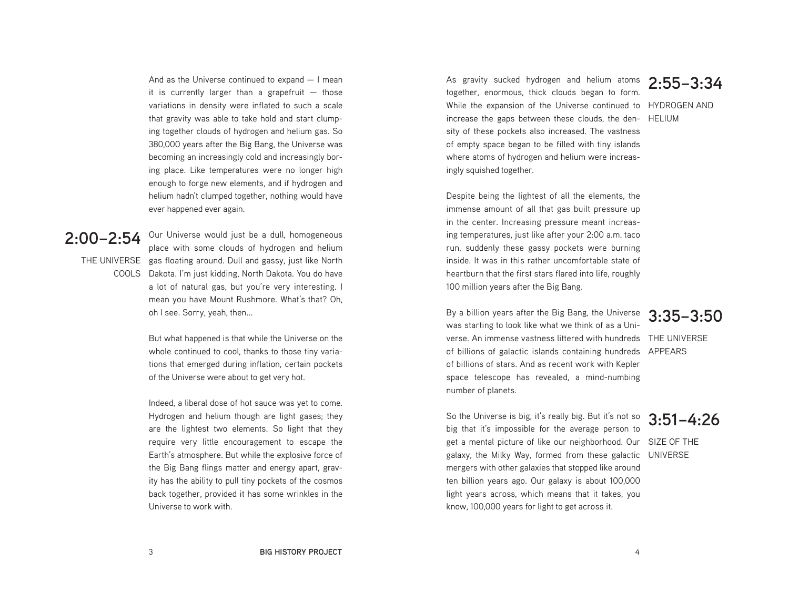And as the Universe continued to expand — I mean it is currently larger than a grapefruit  $-$  those variations in density were inflated to such a scale that gravity was able to take hold and start clumping together clouds of hydrogen and helium gas. So 380,000 years after the Big Bang, the Universe was becoming an increasingly cold and increasingly boring place. Like temperatures were no longer high enough to forge new elements, and if hydrogen and helium hadn't clumped together, nothing would have ever happened ever again.

# **2:00–2:54**

THE UNIVERSE gas floating around. Dull and gassy, just like North COOLS Dakota. I'm just kidding, North Dakota. You do have place with some clouds of hydrogen and helium a lot of natural gas, but you're very interesting. I mean you have Mount Rushmore. What's that? Oh, oh I see. Sorry, yeah, then...

Our Universe would just be a dull, homogeneous

But what happened is that while the Universe on the whole continued to cool, thanks to those tiny variations that emerged during inflation, certain pockets of the Universe were about to get very hot.

Indeed, a liberal dose of hot sauce was yet to come. Hydrogen and helium though are light gases; they are the lightest two elements. So light that they require very little encouragement to escape the Earth's atmosphere. But while the explosive force of the Big Bang flings matter and energy apart, gravity has the ability to pull tiny pockets of the cosmos back together, provided it has some wrinkles in the Universe to work with.

As gravity sucked hydrogen and helium atoms **2:55–3:34** together, enormous, thick clouds began to form. While the expansion of the Universe continued to HYDROGEN AND increase the gaps between these clouds, the den-HELIUM sity of these pockets also increased. The vastness of empty space began to be filled with tiny islands where atoms of hydrogen and helium were increasingly squished together.

Despite being the lightest of all the elements, the immense amount of all that gas built pressure up in the center. Increasing pressure meant increasing temperatures, just like after your 2:00 a.m. taco run, suddenly these gassy pockets were burning inside. It was in this rather uncomfortable state of heartburn that the first stars flared into life, roughly 100 million years after the Big Bang.

By a billion years after the Big Bang, the Universe **3:35–3:50** was starting to look like what we think of as a Universe. An immense vastness littered with hundreds THE UNIVERSE of billions of galactic islands containing hundreds APPEARS of billions of stars. And as recent work with Kepler space telescope has revealed, a mind-numbing number of planets.

So the Universe is big, it's really big. But it's not so **3:51–4:26** big that it's impossible for the average person to get a mental picture of like our neighborhood. Our SIZE OF THE galaxy, the Milky Way, formed from these galactic UNIVERSEmergers with other galaxies that stopped like around ten billion years ago. Our galaxy is about 100,000 light years across, which means that it takes, you know, 100,000 years for light to get across it.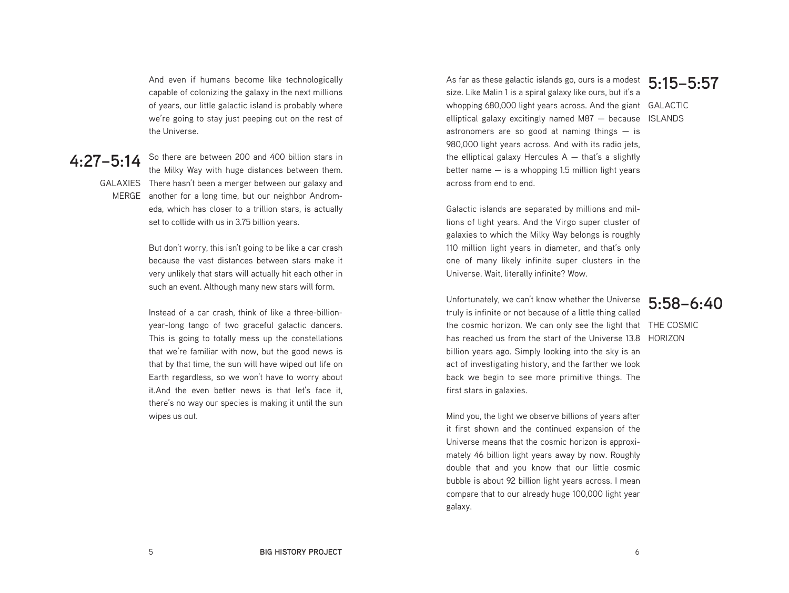And even if humans become like technologically capable of colonizing the galaxy in the next millions of years, our little galactic island is probably where we're going to stay just peeping out on the rest of the Universe.

### **4:27–5:14**

GALAXIES There hasn't been a merger between our galaxy and MERGE another for a long time, but our neighbor Androm-So there are between 200 and 400 billion stars in the Milky Way with huge distances between them. eda, which has closer to a trillion stars, is actually set to collide with us in 3.75 billion years.

> But don't worry, this isn't going to be like a car crash because the vast distances between stars make it very unlikely that stars will actually hit each other in such an event. Although many new stars will form.

> Instead of a car crash, think of like a three-billionyear-long tango of two graceful galactic dancers. This is going to totally mess up the constellations that we're familiar with now, but the good news is that by that time, the sun will have wiped out life on Earth regardless, so we won't have to worry about it.And the even better news is that let's face it, there's no way our species is making it until the sun wipes us out.

As far as these galactic islands go, ours is a modest size. Like Malin 1 is a spiral galaxy like ours, but it's a whopping 680,000 light years across. And the giant GALACTIC elliptical galaxy excitingly named M87 — because ISLANDS astronomers are so good at naming things  $-$  is 980,000 light years across. And with its radio jets, the elliptical galaxy Hercules  $A - \theta$  that's a slightly better name  $-$  is a whopping 1.5 million light years across from end to end.

Galactic islands are separated by millions and millions of light years. And the Virgo super cluster of galaxies to which the Milky Way belongs is roughly 110 million light years in diameter, and that's only one of many likely infinite super clusters in the Universe. Wait, literally infinite? Wow.

Unfortunately, we can't know whether the Universe **5:58–6:40** truly is infinite or not because of a little thing called the cosmic horizon. We can only see the light that THE COSMIC has reached us from the start of the Universe 13.8 HORIZONbillion years ago. Simply looking into the sky is an act of investigating history, and the farther we look back we begin to see more primitive things. The first stars in galaxies.

Mind you, the light we observe billions of years after it first shown and the continued expansion of the Universe means that the cosmic horizon is approximately 46 billion light years away by now. Roughly double that and you know that our little cosmic bubble is about 92 billion light years across. I mean compare that to our already huge 100,000 light year galaxy.

# **5:15–5:57**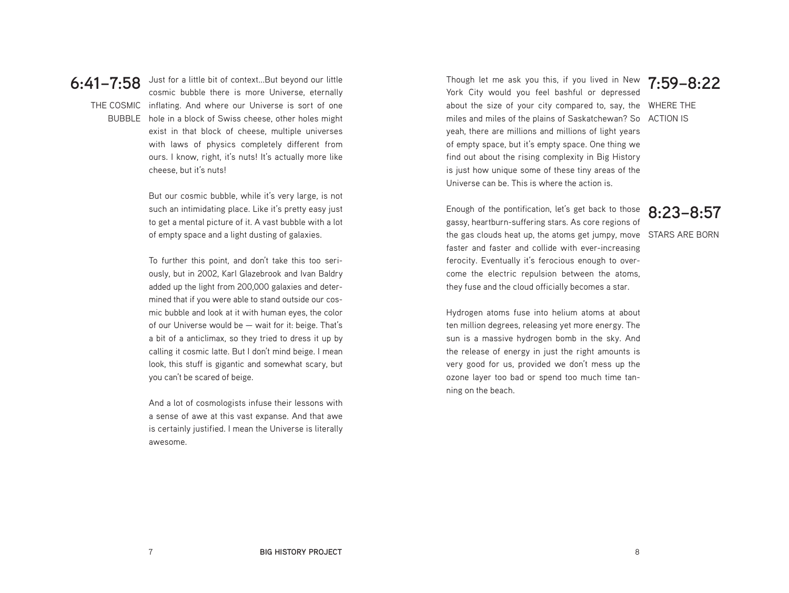

THE COSMIC inflating. And where our Universe is sort of one BUBBLE hole in a block of Swiss cheese, other holes might Just for a little bit of context...But beyond our little cosmic bubble there is more Universe, eternally exist in that block of cheese, multiple universes with laws of physics completely different from ours. I know, right, it's nuts! It's actually more like cheese, but it's nuts!

> But our cosmic bubble, while it's very large, is not such an intimidating place. Like it's pretty easy just to get a mental picture of it. A vast bubble with a lot of empty space and a light dusting of galaxies.

> To further this point, and don't take this too seriously, but in 2002, Karl Glazebrook and Ivan Baldry added up the light from 200,000 galaxies and determined that if you were able to stand outside our cosmic bubble and look at it with human eyes, the color of our Universe would be — wait for it: beige. That's a bit of a anticlimax, so they tried to dress it up by calling it cosmic latte. But I don't mind beige. I mean look, this stuff is gigantic and somewhat scary, but you can't be scared of beige.

> And a lot of cosmologists infuse their lessons with a sense of awe at this vast expanse. And that awe is certainly justified. I mean the Universe is literally awesome.

**7:59–8:22** Though let me ask you this, if you lived in New about the size of your city compared to, say, the WHERE THE miles and miles of the plains of Saskatchewan? So ACTION IS York City would you feel bashful or depressed yeah, there are millions and millions of light years of empty space, but it's empty space. One thing we find out about the rising complexity in Big History is just how unique some of these tiny areas of the Universe can be. This is where the action is.

**8:23–8:57** the gas clouds heat up, the atoms get jumpy, move STARS ARE BORN Enough of the pontification, let's get back to those gassy, heartburn-suffering stars. As core regions of faster and faster and collide with ever-increasing ferocity. Eventually it's ferocious enough to overcome the electric repulsion between the atoms, they fuse and the cloud officially becomes a star.

Hydrogen atoms fuse into helium atoms at about ten million degrees, releasing yet more energy. The sun is a massive hydrogen bomb in the sky. And the release of energy in just the right amounts is very good for us, provided we don't mess up the ozone layer too bad or spend too much time tanning on the beach.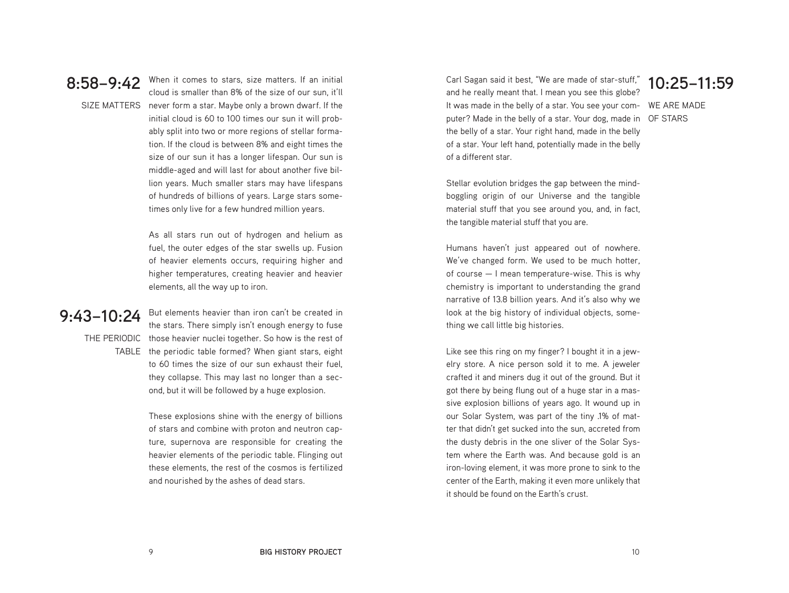

**8:58–9:42** When it comes to stars, size matters. If an initial Section 4.1 Computer than  $R\%$  of the size of our sup it'll SIZE MATTERS never form a star. Maybe only a brown dwarf. If the cloud is smaller than 8% of the size of our sun, it'll initial cloud is 60 to 100 times our sun it will probably split into two or more regions of stellar formation. If the cloud is between 8% and eight times the size of our sun it has a longer lifespan. Our sun is middle-aged and will last for about another five billion years. Much smaller stars may have lifespans of hundreds of billions of years. Large stars sometimes only live for a few hundred million years.

> As all stars run out of hydrogen and helium as fuel, the outer edges of the star swells up. Fusion of heavier elements occurs, requiring higher and higher temperatures, creating heavier and heavier elements, all the way up to iron.

### **9:43–10:24**

THE PERIODIC those heavier nuclei together. So how is the rest of TABLE the periodic table formed? When giant stars, eight But elements heavier than iron can't be created in the stars. There simply isn't enough energy to fuse to 60 times the size of our sun exhaust their fuel, they collapse. This may last no longer than a second, but it will be followed by a huge explosion.

> These explosions shine with the energy of billions of stars and combine with proton and neutron capture, supernova are responsible for creating the heavier elements of the periodic table. Flinging out these elements, the rest of the cosmos is fertilized and nourished by the ashes of dead stars.

Carl Sagan said it best, "We are made of star-stuff," and he really meant that. I mean you see this globe? It was made in the belly of a star. You see your com-WE ARE MADE puter? Made in the belly of a star. Your dog, made in OF STARSthe belly of a star. Your right hand, made in the belly of a star. Your left hand, potentially made in the belly of a different star.

**10:25–11:59**

Stellar evolution bridges the gap between the mindboggling origin of our Universe and the tangible material stuff that you see around you, and, in fact, the tangible material stuff that you are.

Humans haven't just appeared out of nowhere. We've changed form. We used to be much hotter, of course — I mean temperature-wise. This is why chemistry is important to understanding the grand narrative of 13.8 billion years. And it's also why we look at the big history of individual objects, something we call little big histories.

Like see this ring on my finger? I bought it in a jewelry store. A nice person sold it to me. A jeweler crafted it and miners dug it out of the ground. But it got there by being flung out of a huge star in a massive explosion billions of years ago. It wound up in our Solar System, was part of the tiny .1% of matter that didn't get sucked into the sun, accreted from the dusty debris in the one sliver of the Solar System where the Earth was. And because gold is an iron-loving element, it was more prone to sink to the center of the Earth, making it even more unlikely that it should be found on the Earth's crust.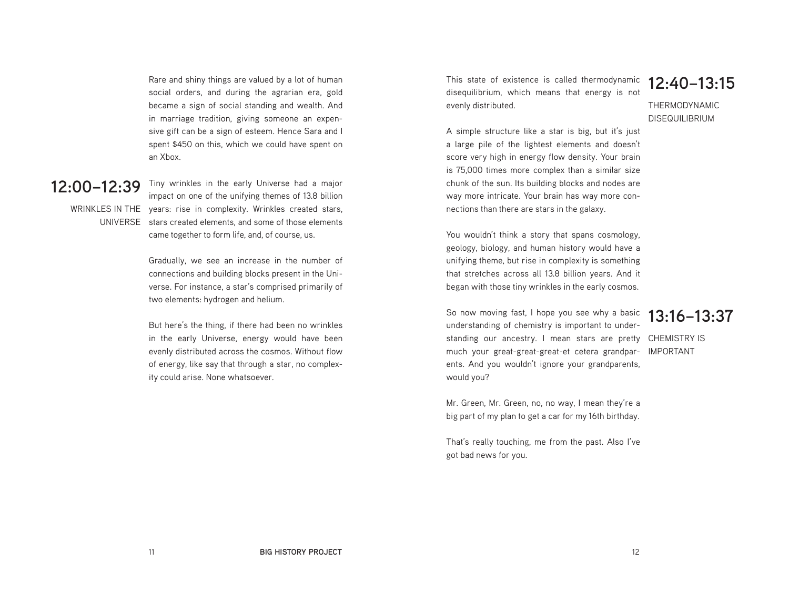Rare and shiny things are valued by a lot of human social orders, and during the agrarian era, gold became a sign of social standing and wealth. And in marriage tradition, giving someone an expensive gift can be a sign of esteem. Hence Sara and I spent \$450 on this, which we could have spent on an Xbox.

### **12:00–12:39**

WRINKLES IN THE years: rise in complexity. Wrinkles created stars, UNIVERSE stars created elements, and some of those elements Tiny wrinkles in the early Universe had a major impact on one of the unifying themes of 13.8 billion came together to form life, and, of course, us.

> Gradually, we see an increase in the number of connections and building blocks present in the Universe. For instance, a star's comprised primarily of two elements: hydrogen and helium.

> But here's the thing, if there had been no wrinkles in the early Universe, energy would have been evenly distributed across the cosmos. Without flow of energy, like say that through a star, no complexity could arise. None whatsoever.

This state of existence is called thermodynamic disequilibrium, which means that energy is not evenly distributed. **12:40–13:15**

THERMODYNAMIC DISEQUILIBRIUM

A simple structure like a star is big, but it's just a large pile of the lightest elements and doesn't score very high in energy flow density. Your brain is 75,000 times more complex than a similar size chunk of the sun. Its building blocks and nodes are way more intricate. Your brain has way more connections than there are stars in the galaxy.

You wouldn't think a story that spans cosmology. geology, biology, and human history would have a unifying theme, but rise in complexity is something that stretches across all 13.8 billion years. And it began with those tiny wrinkles in the early cosmos.

So now moving fast, I hope you see why a basic understanding of chemistry is important to understanding our ancestry. I mean stars are pretty CHEMISTRY IS much your great-great-great-et cetera grandpar-IMPORTANTents. And you wouldn't ignore your grandparents, would you?

# **13:16–13:37**

Mr. Green, Mr. Green, no, no way, I mean they're a big part of my plan to get a car for my 16th birthday.

That's really touching, me from the past. Also I've got bad news for you.